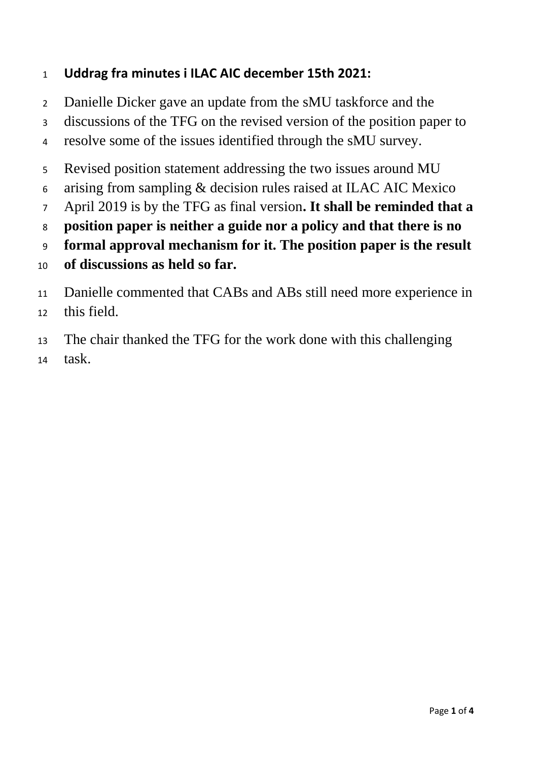## **Uddrag fra minutes i ILAC AIC december 15th 2021:**

- Danielle Dicker gave an update from the sMU taskforce and the
- discussions of the TFG on the revised version of the position paper to
- resolve some of the issues identified through the sMU survey.
- Revised position statement addressing the two issues around MU
- arising from sampling & decision rules raised at ILAC AIC Mexico
- April 2019 is by the TFG as final version**. It shall be reminded that a**
- **position paper is neither a guide nor a policy and that there is no**
- **formal approval mechanism for it. The position paper is the result**
- **of discussions as held so far.**
- Danielle commented that CABs and ABs still need more experience in
- this field.
- The chair thanked the TFG for the work done with this challenging
- task.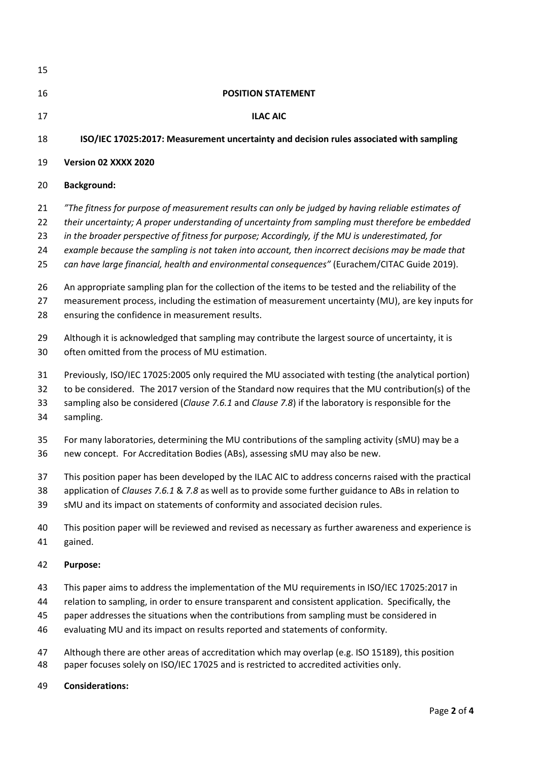| 15 |                                                                                                      |
|----|------------------------------------------------------------------------------------------------------|
| 16 | <b>POSITION STATEMENT</b>                                                                            |
| 17 | <b>ILAC AIC</b>                                                                                      |
| 18 | ISO/IEC 17025:2017: Measurement uncertainty and decision rules associated with sampling              |
| 19 | Version 02 XXXX 2020                                                                                 |
| 20 | <b>Background:</b>                                                                                   |
| 21 | "The fitness for purpose of measurement results can only be judged by having reliable estimates of   |
| 22 | their uncertainty; A proper understanding of uncertainty from sampling must therefore be embedded    |
| 23 | in the broader perspective of fitness for purpose; Accordingly, if the MU is underestimated, for     |
| 24 | example because the sampling is not taken into account, then incorrect decisions may be made that    |
| 25 | can have large financial, health and environmental consequences" (Eurachem/CITAC Guide 2019).        |
| 26 | An appropriate sampling plan for the collection of the items to be tested and the reliability of the |
| 27 | measurement process, including the estimation of measurement uncertainty (MU), are key inputs for    |
| 28 | ensuring the confidence in measurement results.                                                      |
| 29 | Although it is acknowledged that sampling may contribute the largest source of uncertainty, it is    |
| 30 | often omitted from the process of MU estimation.                                                     |
| 31 | Previously, ISO/IEC 17025:2005 only required the MU associated with testing (the analytical portion) |
| 32 | to be considered. The 2017 version of the Standard now requires that the MU contribution(s) of the   |
| 33 | sampling also be considered (Clause 7.6.1 and Clause 7.8) if the laboratory is responsible for the   |
| 34 | sampling.                                                                                            |
| 35 | For many laboratories, determining the MU contributions of the sampling activity (sMU) may be a      |
| 36 | new concept. For Accreditation Bodies (ABs), assessing sMU may also be new.                          |
| 37 | This position paper has been developed by the ILAC AIC to address concerns raised with the practical |
| 38 | application of Clauses 7.6.1 & 7.8 as well as to provide some further guidance to ABs in relation to |
| 39 | sMU and its impact on statements of conformity and associated decision rules.                        |
| 40 | This position paper will be reviewed and revised as necessary as further awareness and experience is |
| 41 | gained.                                                                                              |
| 42 | <b>Purpose:</b>                                                                                      |
| 43 | This paper aims to address the implementation of the MU requirements in ISO/IEC 17025:2017 in        |
| 44 | relation to sampling, in order to ensure transparent and consistent application. Specifically, the   |
| 45 | paper addresses the situations when the contributions from sampling must be considered in            |
| 46 | evaluating MU and its impact on results reported and statements of conformity.                       |
| 47 | Although there are other areas of accreditation which may overlap (e.g. ISO 15189), this position    |
| 48 | paper focuses solely on ISO/IEC 17025 and is restricted to accredited activities only.               |

**Considerations:**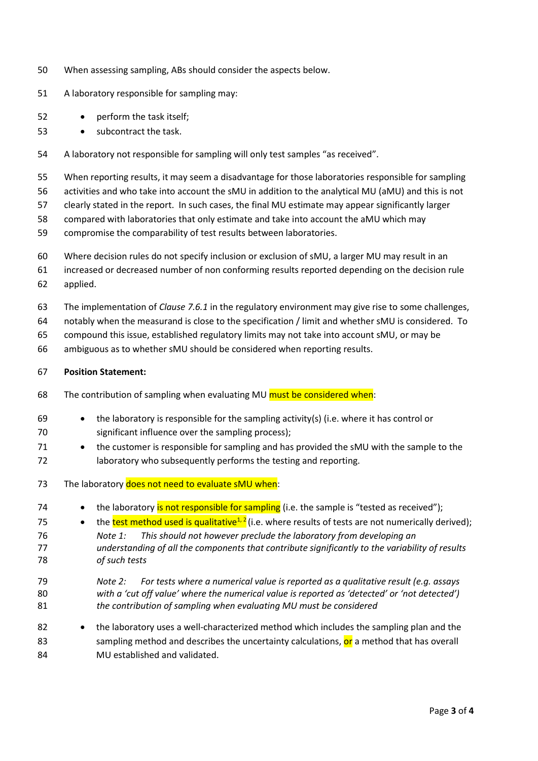- When assessing sampling, ABs should consider the aspects below.
- A laboratory responsible for sampling may:
- perform the task itself;
- subcontract the task.
- A laboratory not responsible for sampling will only test samples "as received".

When reporting results, it may seem a disadvantage for those laboratories responsible for sampling

activities and who take into account the sMU in addition to the analytical MU (aMU) and this is not

clearly stated in the report. In such cases, the final MU estimate may appear significantly larger

- compared with laboratories that only estimate and take into account the aMU which may
- compromise the comparability of test results between laboratories.
- Where decision rules do not specify inclusion or exclusion of sMU, a larger MU may result in an
- increased or decreased number of non conforming results reported depending on the decision rule applied.
- The implementation of *Clause 7.6.1* in the regulatory environment may give rise to some challenges,
- notably when the measurand is close to the specification / limit and whether sMU is considered. To
- compound this issue, established regulatory limits may not take into account sMU, or may be
- ambiguous as to whether sMU should be considered when reporting results.

## **Position Statement:**

- 68 The contribution of sampling when evaluating MU must be considered when:
- 69 the laboratory is responsible for the sampling activity(s) (i.e. where it has control or significant influence over the sampling process);
- the customer is responsible for sampling and has provided the sMU with the sample to the laboratory who subsequently performs the testing and reporting.
- 73 The laboratory does not need to evaluate sMU when:
- 74 the laboratory is not responsible for sampling (i.e. the sample is "tested as received");
- 75 the test method used is qualitative<sup>1, 2</sup> (i.e. where results of tests are not numerically derived); *Note 1: This should not however preclude the laboratory from developing an understanding of all the components that contribute significantly to the variability of results of such tests*
- *Note 2: For tests where a numerical value is reported as a qualitative result (e.g. assays with a 'cut off value' where the numerical value is reported as 'detected' or 'not detected') the contribution of sampling when evaluating MU must be considered*
- 82 the laboratory uses a well-characterized method which includes the sampling plan and the 83 sampling method and describes the uncertainty calculations, or a method that has overall MU established and validated.